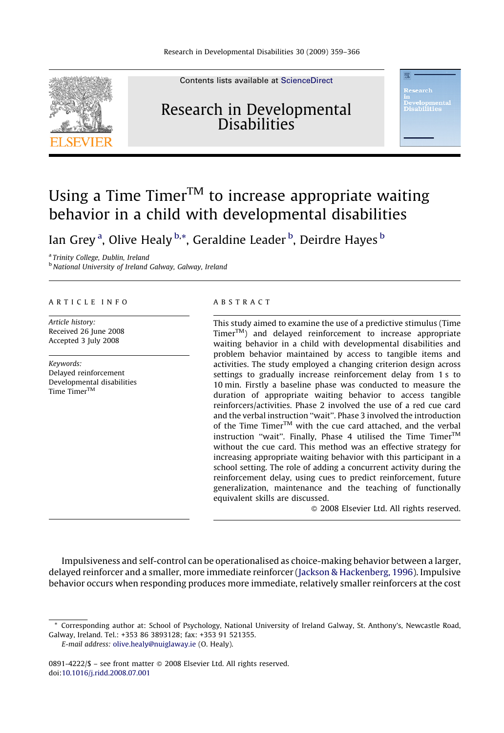

Contents lists available at [ScienceDirect](http://www.sciencedirect.com/science/journal/08914222)

### Research in Developmental **Disabilities**

## Using a Time Timer<sup>TM</sup> to increase appropriate waiting behavior in a child with developmental disabilities

lan Grey<sup>a</sup>, Olive Healy <sup>b,\*</sup>, Geraldine Leader <sup>b</sup>, Deirdre Hayes <sup>b</sup>

<sup>a</sup> Trinity College, Dublin, Ireland <sup>b</sup> National University of Ireland Galway, Galway, Ireland

#### ARTICLE INFO

Article history: Received 26 June 2008 Accepted 3 July 2008

Keywords: Delayed reinforcement Developmental disabilities Time Timer<sup>™</sup>

#### ABSTRACT

This study aimed to examine the use of a predictive stimulus (Time  $Time<sub>T</sub><sup>TM</sup>$  and delayed reinforcement to increase appropriate waiting behavior in a child with developmental disabilities and problem behavior maintained by access to tangible items and activities. The study employed a changing criterion design across settings to gradually increase reinforcement delay from 1 s to 10 min. Firstly a baseline phase was conducted to measure the duration of appropriate waiting behavior to access tangible reinforcers/activities. Phase 2 involved the use of a red cue card and the verbal instruction ''wait''. Phase 3 involved the introduction of the Time Timer<sup>TM</sup> with the cue card attached, and the verbal instruction "wait". Finally, Phase 4 utilised the Time  $\text{Timer}^{\text{TM}}$ without the cue card. This method was an effective strategy for increasing appropriate waiting behavior with this participant in a school setting. The role of adding a concurrent activity during the reinforcement delay, using cues to predict reinforcement, future generalization, maintenance and the teaching of functionally equivalent skills are discussed.

- 2008 Elsevier Ltd. All rights reserved.

Impulsiveness and self-control can be operationalised as choice-making behavior between a larger, delayed reinforcer and a smaller, more immediate reinforcer [\(Jackson & Hackenberg, 1996\)](#page--1-0). Impulsive behavior occurs when responding produces more immediate, relatively smaller reinforcers at the cost

<sup>\*</sup> Corresponding author at: School of Psychology, National University of Ireland Galway, St. Anthony's, Newcastle Road, Galway, Ireland. Tel.: +353 86 3893128; fax: +353 91 521355.

E-mail address: [olive.healy@nuiglaway.ie](mailto:olive.healy@nuiglaway.ie) (O. Healy).

<sup>0891-4222/\$ –</sup> see front matter © 2008 Elsevier Ltd. All rights reserved. doi[:10.1016/j.ridd.2008.07.001](http://dx.doi.org/10.1016/j.ridd.2008.07.001)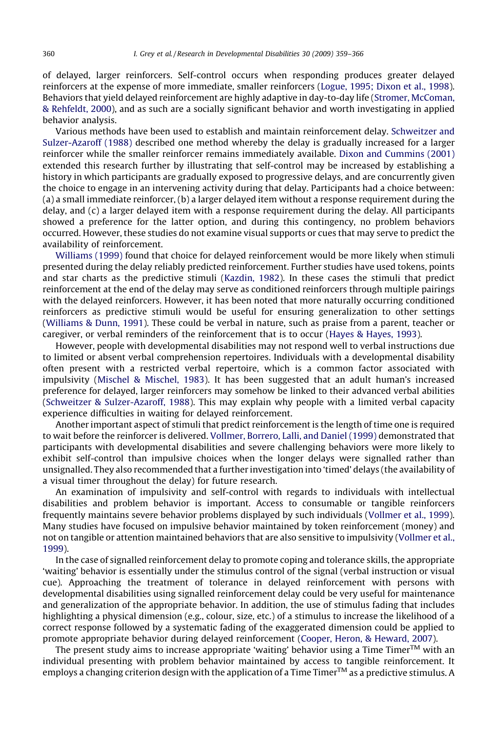of delayed, larger reinforcers. Self-control occurs when responding produces greater delayed reinforcers at the expense of more immediate, smaller reinforcers ([Logue, 1995; Dixon et al., 1998](#page--1-0)). Behaviors that yield delayed reinforcement are highly adaptive in day-to-day life ([Stromer, McComan,](#page--1-0) [& Rehfeldt, 2000](#page--1-0)), and as such are a socially significant behavior and worth investigating in applied behavior analysis.

Various methods have been used to establish and maintain reinforcement delay. [Schweitzer and](#page--1-0) [Sulzer-Azaroff \(1988\)](#page--1-0) described one method whereby the delay is gradually increased for a larger reinforcer while the smaller reinforcer remains immediately available. [Dixon and Cummins \(2001\)](#page--1-0) extended this research further by illustrating that self-control may be increased by establishing a history in which participants are gradually exposed to progressive delays, and are concurrently given the choice to engage in an intervening activity during that delay. Participants had a choice between: (a) a small immediate reinforcer, (b) a larger delayed item without a response requirement during the delay, and (c) a larger delayed item with a response requirement during the delay. All participants showed a preference for the latter option, and during this contingency, no problem behaviors occurred. However, these studies do not examine visual supports or cues that may serve to predict the availability of reinforcement.

[Williams \(1999\)](#page--1-0) found that choice for delayed reinforcement would be more likely when stimuli presented during the delay reliably predicted reinforcement. Further studies have used tokens, points and star charts as the predictive stimuli [\(Kazdin, 1982\)](#page--1-0). In these cases the stimuli that predict reinforcement at the end of the delay may serve as conditioned reinforcers through multiple pairings with the delayed reinforcers. However, it has been noted that more naturally occurring conditioned reinforcers as predictive stimuli would be useful for ensuring generalization to other settings ([Williams & Dunn, 1991](#page--1-0)). These could be verbal in nature, such as praise from a parent, teacher or caregiver, or verbal reminders of the reinforcement that is to occur ([Hayes & Hayes, 1993](#page--1-0)).

However, people with developmental disabilities may not respond well to verbal instructions due to limited or absent verbal comprehension repertoires. Individuals with a developmental disability often present with a restricted verbal repertoire, which is a common factor associated with impulsivity ([Mischel & Mischel, 1983\)](#page--1-0). It has been suggested that an adult human's increased preference for delayed, larger reinforcers may somehow be linked to their advanced verbal abilities ([Schweitzer & Sulzer-Azaroff, 1988](#page--1-0)). This may explain why people with a limited verbal capacity experience difficulties in waiting for delayed reinforcement.

Another important aspect of stimuli that predict reinforcement is the length of time one is required to wait before the reinforcer is delivered. [Vollmer, Borrero, Lalli, and Daniel \(1999\)](#page--1-0) demonstrated that participants with developmental disabilities and severe challenging behaviors were more likely to exhibit self-control than impulsive choices when the longer delays were signalled rather than unsignalled. They also recommended that a further investigation into 'timed' delays (the availability of a visual timer throughout the delay) for future research.

An examination of impulsivity and self-control with regards to individuals with intellectual disabilities and problem behavior is important. Access to consumable or tangible reinforcers frequently maintains severe behavior problems displayed by such individuals [\(Vollmer et al., 1999](#page--1-0)). Many studies have focused on impulsive behavior maintained by token reinforcement (money) and not on tangible or attention maintained behaviors that are also sensitive to impulsivity [\(Vollmer et al.,](#page--1-0) [1999](#page--1-0)).

In the case of signalled reinforcement delay to promote coping and tolerance skills, the appropriate 'waiting' behavior is essentially under the stimulus control of the signal (verbal instruction or visual cue). Approaching the treatment of tolerance in delayed reinforcement with persons with developmental disabilities using signalled reinforcement delay could be very useful for maintenance and generalization of the appropriate behavior. In addition, the use of stimulus fading that includes highlighting a physical dimension (e.g., colour, size, etc.) of a stimulus to increase the likelihood of a correct response followed by a systematic fading of the exaggerated dimension could be applied to promote appropriate behavior during delayed reinforcement ([Cooper, Heron, & Heward, 2007\)](#page--1-0).

The present study aims to increase appropriate 'waiting' behavior using a Time Timer $^{TM}$  with an individual presenting with problem behavior maintained by access to tangible reinforcement. It employs a changing criterion design with the application of a Time Timer™ as a predictive stimulus. A